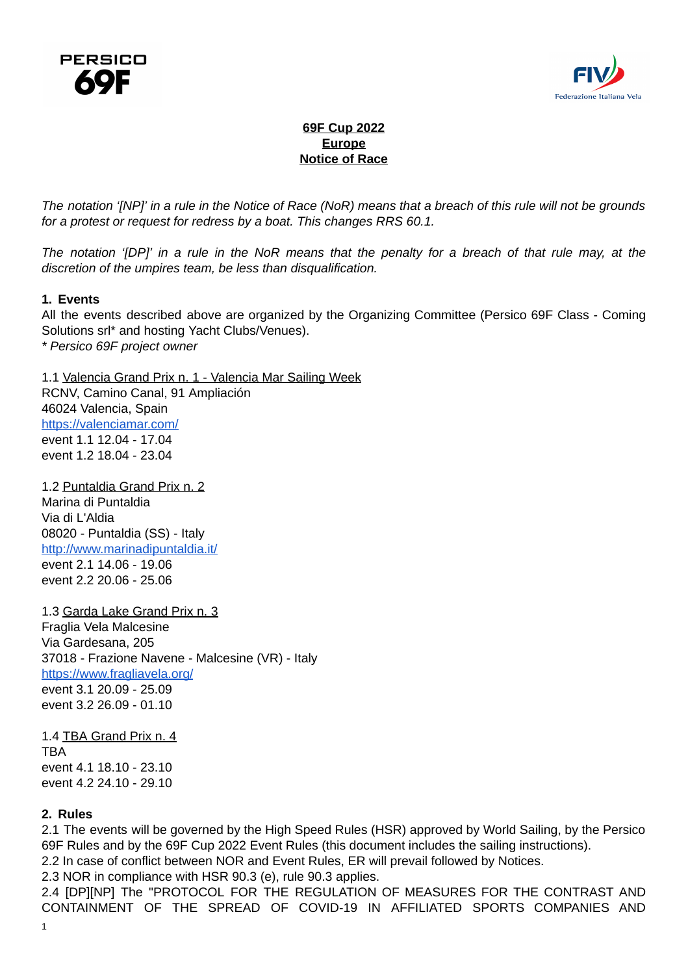



# **69F Cup 2022 Europe Notice of Race**

The notation '[NP]' in a rule in the Notice of Race (NoR) means that a breach of this rule will not be grounds *for a protest or request for redress by a boat. This changes RRS 60.1.*

The notation '[DP]' in a rule in the NoR means that the penalty for a breach of that rule may, at the *discretion of the umpires team, be less than disqualification.*

#### **1. Events**

All the events described above are organized by the Organizing Committee (Persico 69F Class - Coming Solutions srl\* and hosting Yacht Clubs/Venues). *\* Persico 69F project owner*

1.1 Valencia Grand Prix n. 1 - Valencia Mar Sailing Week RCNV, Camino Canal, 91 Ampliación 46024 Valencia, Spain <https://valenciamar.com/> event 1.1 12.04 - 17.04

event 1.2 18.04 - 23.04 1.2 Puntaldia Grand Prix n. 2

Marina di Puntaldia Via di L'Aldia 08020 - Puntaldia (SS) - Italy <http://www.marinadipuntaldia.it/> event 2.1 14.06 - 19.06 event 2.2 20.06 - 25.06

1.3 Garda Lake Grand Prix n. 3 Fraglia Vela Malcesine Via Gardesana, 205 37018 - Frazione Navene - Malcesine (VR) - Italy <https://www.fragliavela.org/>

event 3.1 20.09 - 25.09 event 3.2 26.09 - 01.10

1.4 TBA Grand Prix n. 4 TBA event 4.1 18.10 - 23.10 event 4.2 24.10 - 29.10

## **2. Rules**

2.1 The events will be governed by the High Speed Rules (HSR) approved by World Sailing, by the Persico 69F Rules and by the 69F Cup 2022 Event Rules (this document includes the sailing instructions).

2.2 In case of conflict between NOR and Event Rules, ER will prevail followed by Notices.

2.3 NOR in compliance with HSR 90.3 (e), rule 90.3 applies.

2.4 [DP][NP] The "PROTOCOL FOR THE REGULATION OF MEASURES FOR THE CONTRAST AND CONTAINMENT OF THE SPREAD OF COVID-19 IN AFFILIATED SPORTS COMPANIES AND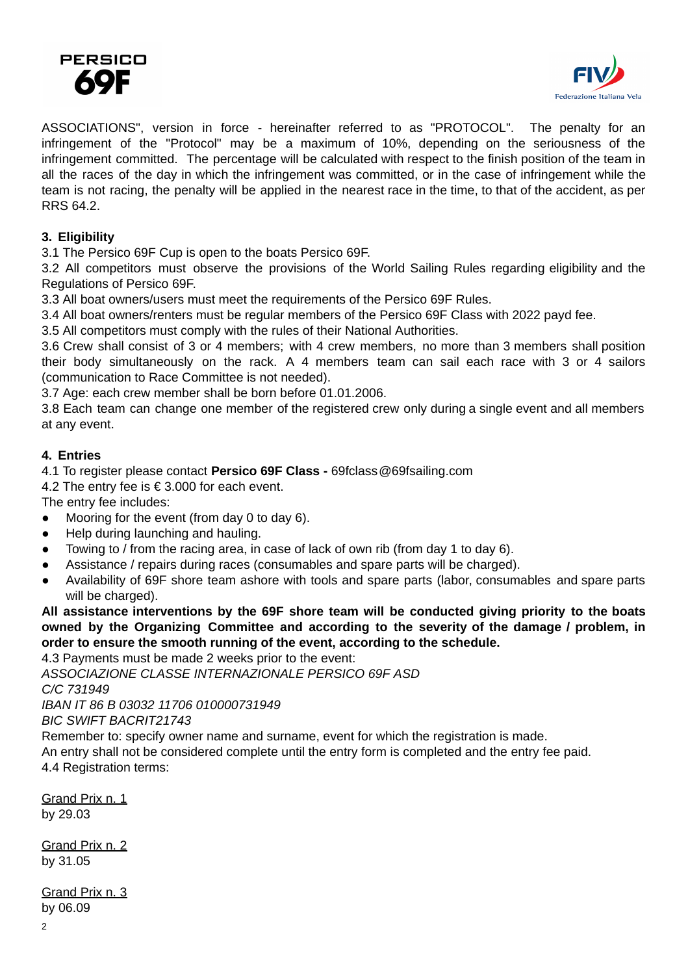



ASSOCIATIONS", version in force - hereinafter referred to as "PROTOCOL". The penalty for an infringement of the "Protocol" may be a maximum of 10%, depending on the seriousness of the infringement committed. The percentage will be calculated with respect to the finish position of the team in all the races of the day in which the infringement was committed, or in the case of infringement while the team is not racing, the penalty will be applied in the nearest race in the time, to that of the accident, as per RRS 64.2.

# **3. Eligibility**

3.1 The Persico 69F Cup is open to the boats Persico 69F.

3.2 All competitors must observe the provisions of the World Sailing Rules regarding eligibility and the Regulations of Persico 69F.

3.3 All boat owners/users must meet the requirements of the Persico 69F Rules.

3.4 All boat owners/renters must be regular members of the Persico 69F Class with 2022 payd fee.

3.5 All competitors must comply with the rules of their National Authorities.

3.6 Crew shall consist of 3 or 4 members; with 4 crew members, no more than 3 members shall position their body simultaneously on the rack. A 4 members team can sail each race with 3 or 4 sailors (communication to Race Committee is not needed).

3.7 Age: each crew member shall be born before 01.01.2006.

3.8 Each team can change one member of the registered crew only during a single event and all members at any event.

## **4. Entries**

4.1 To register please contact **Persico 69F Class -** 69fclass[@69fsailing.com](mailto:yfwc@69fsailing.com)

4.2 The entry fee is € 3.000 for each event.

The entry fee includes:

- Mooring for the event (from day 0 to day 6).
- Help during launching and hauling.
- Towing to / from the racing area, in case of lack of own rib (from day 1 to day 6).
- Assistance / repairs during races (consumables and spare parts will be charged).
- Availability of 69F shore team ashore with tools and spare parts (labor, consumables and spare parts will be charged).

**All assistance interventions by the 69F shore team will be conducted giving priority to the boats owned by the Organizing Committee and according to the severity of the damage / problem, in order to ensure the smooth running of the event, according to the schedule.**

4.3 Payments must be made 2 weeks prior to the event:

*ASSOCIAZIONE CLASSE INTERNAZIONALE PERSICO 69F ASD C/C 731949 IBAN IT 86 B 03032 11706 010000731949*

*BIC SWIFT BACRIT21743*

Remember to: specify owner name and surname, event for which the registration is made.

An entry shall not be considered complete until the entry form is completed and the entry fee paid. 4.4 Registration terms:

<u>Grand Prix n. 1</u> by 29.03

Grand Prix n. 2 by 31.05

Grand Prix n. 3 by 06.09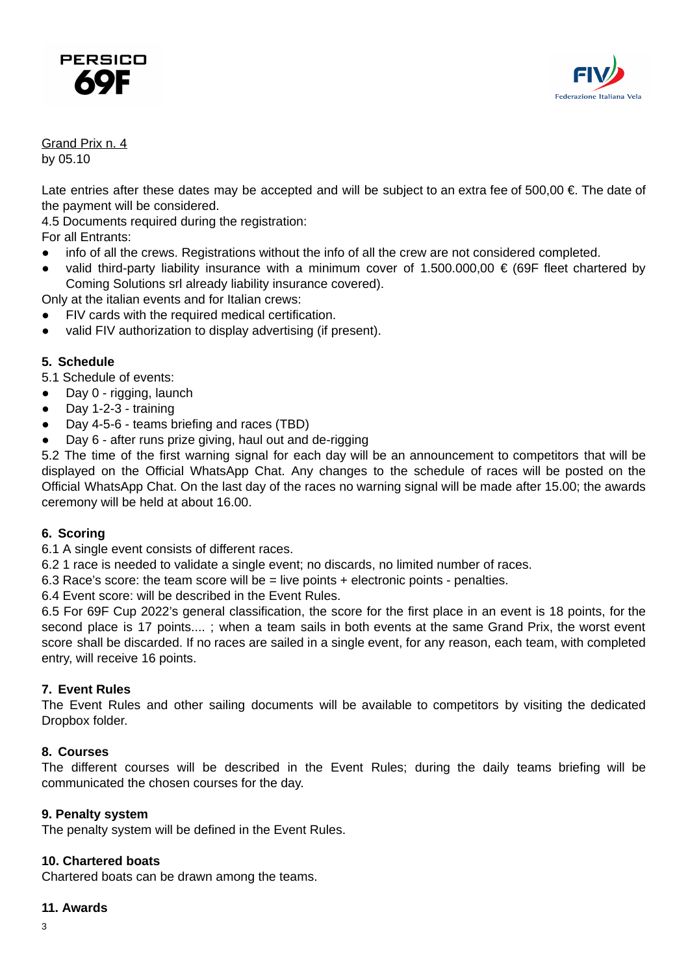



#### Grand Prix n. 4 by 05.10

Late entries after these dates may be accepted and will be subject to an extra fee of 500,00 €. The date of the payment will be considered.

4.5 Documents required during the registration:

For all Entrants:

- info of all the crews. Registrations without the info of all the crew are not considered completed.
- valid third-party liability insurance with a minimum cover of 1.500.000,00  $\epsilon$  (69F fleet chartered by Coming Solutions srl already liability insurance covered).

Only at the italian events and for Italian crews:

- FIV cards with the required medical certification.
- valid FIV authorization to display advertising (if present).

# **5. Schedule**

5.1 Schedule of events:

- Day 0 rigging, launch
- Day 1-2-3 training
- Day 4-5-6 teams briefing and races (TBD)
- Day 6 after runs prize giving, haul out and de-rigging

5.2 The time of the first warning signal for each day will be an announcement to competitors that will be displayed on the Official WhatsApp Chat. Any changes to the schedule of races will be posted on the Official WhatsApp Chat. On the last day of the races no warning signal will be made after 15.00; the awards ceremony will be held at about 16.00.

## **6. Scoring**

6.1 A single event consists of different races.

6.2 1 race is needed to validate a single event; no discards, no limited number of races.

6.3 Race's score: the team score will be = live points + electronic points - penalties.

6.4 Event score: will be described in the Event Rules.

6.5 For 69F Cup 2022's general classification, the score for the first place in an event is 18 points, for the second place is 17 points.... ; when a team sails in both events at the same Grand Prix, the worst event score shall be discarded. If no races are sailed in a single event, for any reason, each team, with completed entry, will receive 16 points.

## **7. Event Rules**

The Event Rules and other sailing documents will be available to competitors by visiting the dedicated Dropbox folder.

## **8. Courses**

The different courses will be described in the Event Rules; during the daily teams briefing will be communicated the chosen courses for the day.

#### **9. Penalty system**

The penalty system will be defined in the Event Rules.

## **10. Chartered boats**

Chartered boats can be drawn among the teams.

#### **11. Awards**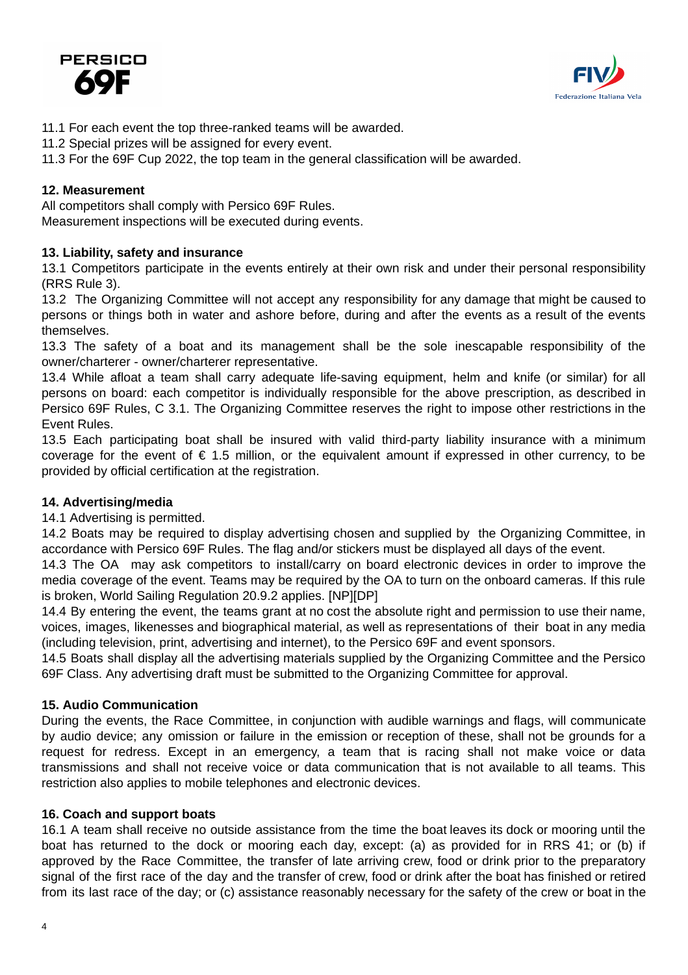# PERSICO



- 11.1 For each event the top three-ranked teams will be awarded.
- 11.2 Special prizes will be assigned for every event.
- 11.3 For the 69F Cup 2022, the top team in the general classification will be awarded.

# **12. Measurement**

All competitors shall comply with Persico 69F Rules. Measurement inspections will be executed during events.

# **13. Liability, safety and insurance**

13.1 Competitors participate in the events entirely at their own risk and under their personal responsibility (RRS Rule 3).

13.2 The Organizing Committee will not accept any responsibility for any damage that might be caused to persons or things both in water and ashore before, during and after the events as a result of the events themselves.

13.3 The safety of a boat and its management shall be the sole inescapable responsibility of the owner/charterer - owner/charterer representative.

13.4 While afloat a team shall carry adequate life-saving equipment, helm and knife (or similar) for all persons on board: each competitor is individually responsible for the above prescription, as described in Persico 69F Rules, C 3.1. The Organizing Committee reserves the right to impose other restrictions in the Event Rules.

13.5 Each participating boat shall be insured with valid third-party liability insurance with a minimum coverage for the event of  $\epsilon$  1.5 million, or the equivalent amount if expressed in other currency, to be provided by official certification at the registration.

## **14. Advertising/media**

14.1 Advertising is permitted.

14.2 Boats may be required to display advertising chosen and supplied by the Organizing Committee, in accordance with Persico 69F Rules. The flag and/or stickers must be displayed all days of the event.

14.3 The OA may ask competitors to install/carry on board electronic devices in order to improve the media coverage of the event. Teams may be required by the OA to turn on the onboard cameras. If this rule is broken, World Sailing Regulation 20.9.2 applies. [NP][DP]

14.4 By entering the event, the teams grant at no cost the absolute right and permission to use their name, voices, images, likenesses and biographical material, as well as representations of their boat in any media (including television, print, advertising and internet), to the Persico 69F and event sponsors.

14.5 Boats shall display all the advertising materials supplied by the Organizing Committee and the Persico 69F Class. Any advertising draft must be submitted to the Organizing Committee for approval.

## **15. Audio Communication**

During the events, the Race Committee, in conjunction with audible warnings and flags, will communicate by audio device; any omission or failure in the emission or reception of these, shall not be grounds for a request for redress. Except in an emergency, a team that is racing shall not make voice or data transmissions and shall not receive voice or data communication that is not available to all teams. This restriction also applies to mobile telephones and electronic devices.

## **16. Coach and support boats**

16.1 A team shall receive no outside assistance from the time the boat leaves its dock or mooring until the boat has returned to the dock or mooring each day, except: (a) as provided for in RRS 41; or (b) if approved by the Race Committee, the transfer of late arriving crew, food or drink prior to the preparatory signal of the first race of the day and the transfer of crew, food or drink after the boat has finished or retired from its last race of the day; or (c) assistance reasonably necessary for the safety of the crew or boat in the